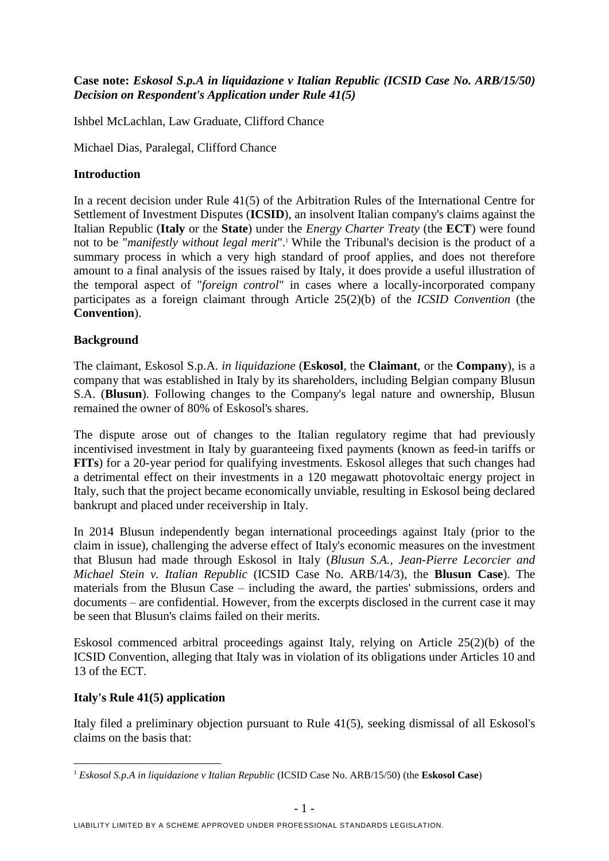# **Case note:** *Eskosol S.p.A in liquidazione v Italian Republic (ICSID Case No. ARB/15/50) Decision on Respondent's Application under Rule 41(5)*

Ishbel McLachlan, Law Graduate, Clifford Chance

Michael Dias, Paralegal, Clifford Chance

# **Introduction**

In a recent decision under Rule 41(5) of the Arbitration Rules of the International Centre for Settlement of Investment Disputes (**ICSID**), an insolvent Italian company's claims against the Italian Republic (**Italy** or the **State**) under the *Energy Charter Treaty* (the **ECT**) were found not to be "*manifestly without legal merit*". <sup>1</sup> While the Tribunal's decision is the product of a summary process in which a very high standard of proof applies, and does not therefore amount to a final analysis of the issues raised by Italy, it does provide a useful illustration of the temporal aspect of "*foreign control*" in cases where a locally-incorporated company participates as a foreign claimant through Article 25(2)(b) of the *ICSID Convention* (the **Convention**).

## **Background**

The claimant, Eskosol S.p.A. *in liquidazione* (**Eskosol**, the **Claimant**, or the **Company**), is a company that was established in Italy by its shareholders, including Belgian company Blusun S.A. (**Blusun**). Following changes to the Company's legal nature and ownership, Blusun remained the owner of 80% of Eskosol's shares.

The dispute arose out of changes to the Italian regulatory regime that had previously incentivised investment in Italy by guaranteeing fixed payments (known as feed-in tariffs or **FITs**) for a 20-year period for qualifying investments. Eskosol alleges that such changes had a detrimental effect on their investments in a 120 megawatt photovoltaic energy project in Italy, such that the project became economically unviable, resulting in Eskosol being declared bankrupt and placed under receivership in Italy.

In 2014 Blusun independently began international proceedings against Italy (prior to the claim in issue), challenging the adverse effect of Italy's economic measures on the investment that Blusun had made through Eskosol in Italy (*Blusun S.A., Jean-Pierre Lecorcier and Michael Stein v. Italian Republic* (ICSID Case No. ARB/14/3), the **Blusun Case**). The materials from the Blusun Case – including the award, the parties' submissions, orders and documents – are confidential. However, from the excerpts disclosed in the current case it may be seen that Blusun's claims failed on their merits.

Eskosol commenced arbitral proceedings against Italy, relying on Article 25(2)(b) of the ICSID Convention, alleging that Italy was in violation of its obligations under Articles 10 and 13 of the ECT.

#### **Italy's Rule 41(5) application**

1

Italy filed a preliminary objection pursuant to Rule 41(5), seeking dismissal of all Eskosol's claims on the basis that:

<sup>&</sup>lt;sup>1</sup> *Eskosol S.p.A in liquidazione v Italian Republic* (ICSID Case No. ARB/15/50) (the **Eskosol Case**)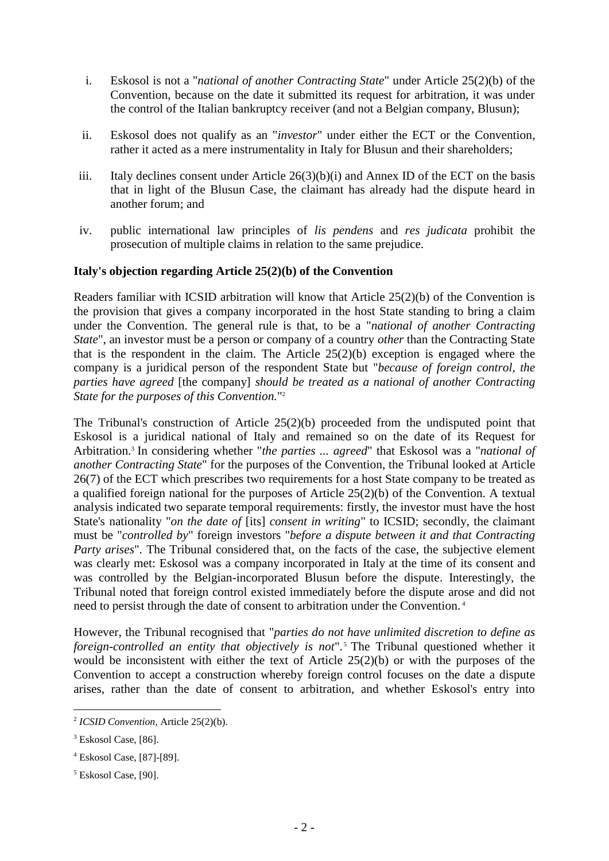- i. Eskosol is not a "*national of another Contracting State*" under Article 25(2)(b) of the Convention, because on the date it submitted its request for arbitration, it was under the control of the Italian bankruptcy receiver (and not a Belgian company, Blusun);
- ii. Eskosol does not qualify as an "*investor*" under either the ECT or the Convention, rather it acted as a mere instrumentality in Italy for Blusun and their shareholders;
- iii. Italy declines consent under Article 26(3)(b)(i) and Annex ID of the ECT on the basis that in light of the Blusun Case, the claimant has already had the dispute heard in another forum; and
- iv. public international law principles of *lis pendens* and *res judicata* prohibit the prosecution of multiple claims in relation to the same prejudice.

## **Italy's objection regarding Article 25(2)(b) of the Convention**

Readers familiar with ICSID arbitration will know that Article 25(2)(b) of the Convention is the provision that gives a company incorporated in the host State standing to bring a claim under the Convention. The general rule is that, to be a "*national of another Contracting State*", an investor must be a person or company of a country *other* than the Contracting State that is the respondent in the claim. The Article 25(2)(b) exception is engaged where the company is a juridical person of the respondent State but "*because of foreign control, the parties have agreed* [the company] *should be treated as a national of another Contracting State for the purposes of this Convention.*" 2

The Tribunal's construction of Article 25(2)(b) proceeded from the undisputed point that Eskosol is a juridical national of Italy and remained so on the date of its Request for Arbitration.<sup>3</sup> In considering whether "*the parties ... agreed*" that Eskosol was a "*national of another Contracting State*" for the purposes of the Convention, the Tribunal looked at Article 26(7) of the ECT which prescribes two requirements for a host State company to be treated as a qualified foreign national for the purposes of Article 25(2)(b) of the Convention. A textual analysis indicated two separate temporal requirements: firstly, the investor must have the host State's nationality "*on the date of* [its] *consent in writing*" to ICSID; secondly, the claimant must be "*controlled by*" foreign investors "*before a dispute between it and that Contracting Party arises*". The Tribunal considered that, on the facts of the case, the subjective element was clearly met: Eskosol was a company incorporated in Italy at the time of its consent and was controlled by the Belgian-incorporated Blusun before the dispute. Interestingly, the Tribunal noted that foreign control existed immediately before the dispute arose and did not need to persist through the date of consent to arbitration under the Convention. 4

However, the Tribunal recognised that "*parties do not have unlimited discretion to define as foreign-controlled an entity that objectively is not*". <sup>5</sup> The Tribunal questioned whether it would be inconsistent with either the text of Article 25(2)(b) or with the purposes of the Convention to accept a construction whereby foreign control focuses on the date a dispute arises, rather than the date of consent to arbitration, and whether Eskosol's entry into

1

<sup>2</sup> *ICSID Convention*, Article 25(2)(b).

<sup>&</sup>lt;sup>3</sup> Eskosol Case, [86].

<sup>4</sup> Eskosol Case, [87]-[89].

<sup>&</sup>lt;sup>5</sup> Eskosol Case, [90].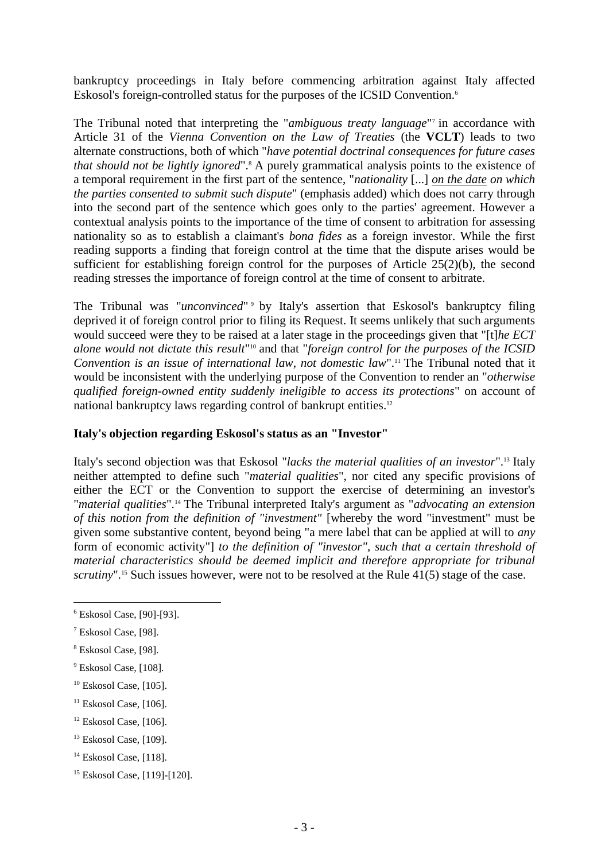bankruptcy proceedings in Italy before commencing arbitration against Italy affected Eskosol's foreign-controlled status for the purposes of the ICSID Convention.<sup>6</sup>

The Tribunal noted that interpreting the "*ambiguous treaty language*"<sup>7</sup> in accordance with Article 31 of the *Vienna Convention on the Law of Treaties* (the **VCLT**) leads to two alternate constructions, both of which "*have potential doctrinal consequences for future cases that should not be lightly ignored*".<sup>8</sup> A purely grammatical analysis points to the existence of a temporal requirement in the first part of the sentence, "*nationality* [...] *on the date on which the parties consented to submit such dispute*" (emphasis added) which does not carry through into the second part of the sentence which goes only to the parties' agreement. However a contextual analysis points to the importance of the time of consent to arbitration for assessing nationality so as to establish a claimant's *bona fides* as a foreign investor. While the first reading supports a finding that foreign control at the time that the dispute arises would be sufficient for establishing foreign control for the purposes of Article 25(2)(b), the second reading stresses the importance of foreign control at the time of consent to arbitrate.

The Tribunal was "*unconvinced*" <sup>9</sup> by Italy's assertion that Eskosol's bankruptcy filing deprived it of foreign control prior to filing its Request. It seems unlikely that such arguments would succeed were they to be raised at a later stage in the proceedings given that "[t]*he ECT*  alone would not dictate this result"<sup>10</sup> and that "*foreign control for the purposes of the ICSID Convention is an issue of international law, not domestic law*".<sup>11</sup> The Tribunal noted that it would be inconsistent with the underlying purpose of the Convention to render an "*otherwise qualified foreign-owned entity suddenly ineligible to access its protections*" on account of national bankruptcy laws regarding control of bankrupt entities. 12

# **Italy's objection regarding Eskosol's status as an "Investor"**

Italy's second objection was that Eskosol "*lacks the material qualities of an investor*". <sup>13</sup> Italy neither attempted to define such "*material qualities*", nor cited any specific provisions of either the ECT or the Convention to support the exercise of determining an investor's "*material qualities*".<sup>14</sup> The Tribunal interpreted Italy's argument as "*advocating an extension of this notion from the definition of "investment"* [whereby the word "investment" must be given some substantive content, beyond being "a mere label that can be applied at will to *any* form of economic activity"] *to the definition of "investor", such that a certain threshold of material characteristics should be deemed implicit and therefore appropriate for tribunal scrutiny*".<sup>15</sup> Such issues however, were not to be resolved at the Rule 41(5) stage of the case.

1

<sup>6</sup> Eskosol Case, [90]-[93].

<sup>7</sup> Eskosol Case, [98].

<sup>8</sup> Eskosol Case, [98].

<sup>&</sup>lt;sup>9</sup> Eskosol Case, [108].

<sup>&</sup>lt;sup>10</sup> Eskosol Case, [105].

 $11$  Eskosol Case, [106].

 $12$  Eskosol Case, [106].

<sup>&</sup>lt;sup>13</sup> Eskosol Case, [109].

 $14$  Eskosol Case, [118].

<sup>15</sup> Eskosol Case, [119]-[120].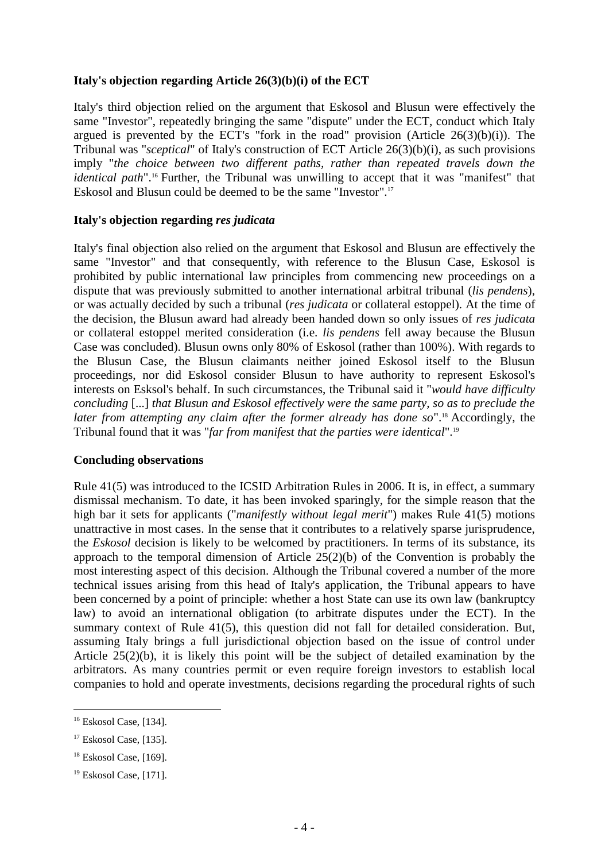## **Italy's objection regarding Article 26(3)(b)(i) of the ECT**

Italy's third objection relied on the argument that Eskosol and Blusun were effectively the same "Investor", repeatedly bringing the same "dispute" under the ECT, conduct which Italy argued is prevented by the ECT's "fork in the road" provision (Article  $26(3)(b)(i)$ ). The Tribunal was "*sceptical*" of Italy's construction of ECT Article 26(3)(b)(i), as such provisions imply "*the choice between two different paths, rather than repeated travels down the identical path*".<sup>16</sup> Further, the Tribunal was unwilling to accept that it was "manifest" that Eskosol and Blusun could be deemed to be the same "Investor".<sup>17</sup>

## **Italy's objection regarding** *res judicata*

Italy's final objection also relied on the argument that Eskosol and Blusun are effectively the same "Investor" and that consequently, with reference to the Blusun Case, Eskosol is prohibited by public international law principles from commencing new proceedings on a dispute that was previously submitted to another international arbitral tribunal (*lis pendens*), or was actually decided by such a tribunal (*res judicata* or collateral estoppel). At the time of the decision, the Blusun award had already been handed down so only issues of *res judicata*  or collateral estoppel merited consideration (i.e. *lis pendens* fell away because the Blusun Case was concluded). Blusun owns only 80% of Eskosol (rather than 100%). With regards to the Blusun Case, the Blusun claimants neither joined Eskosol itself to the Blusun proceedings, nor did Eskosol consider Blusun to have authority to represent Eskosol's interests on Esksol's behalf. In such circumstances, the Tribunal said it "*would have difficulty concluding* [...] *that Blusun and Eskosol effectively were the same party, so as to preclude the later from attempting any claim after the former already has done so*".<sup>18</sup> Accordingly, the Tribunal found that it was "*far from manifest that the parties were identical*". 19

#### **Concluding observations**

Rule 41(5) was introduced to the ICSID Arbitration Rules in 2006. It is, in effect, a summary dismissal mechanism. To date, it has been invoked sparingly, for the simple reason that the high bar it sets for applicants ("*manifestly without legal merit*") makes Rule 41(5) motions unattractive in most cases. In the sense that it contributes to a relatively sparse jurisprudence, the *Eskosol* decision is likely to be welcomed by practitioners. In terms of its substance, its approach to the temporal dimension of Article 25(2)(b) of the Convention is probably the most interesting aspect of this decision. Although the Tribunal covered a number of the more technical issues arising from this head of Italy's application, the Tribunal appears to have been concerned by a point of principle: whether a host State can use its own law (bankruptcy law) to avoid an international obligation (to arbitrate disputes under the ECT). In the summary context of Rule 41(5), this question did not fall for detailed consideration. But, assuming Italy brings a full jurisdictional objection based on the issue of control under Article 25(2)(b), it is likely this point will be the subject of detailed examination by the arbitrators. As many countries permit or even require foreign investors to establish local companies to hold and operate investments, decisions regarding the procedural rights of such

1

<sup>&</sup>lt;sup>16</sup> Eskosol Case, [134].

 $17$  Eskosol Case, [135].

<sup>18</sup> Eskosol Case, [169].

<sup>&</sup>lt;sup>19</sup> Eskosol Case, [171].